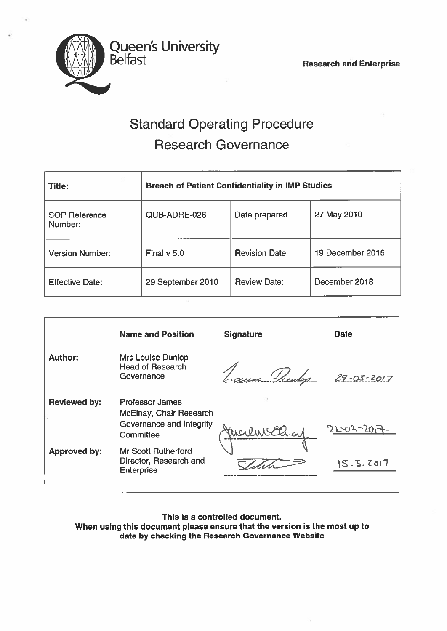

# Standard Operating Procedure Research Governance

| <b>Title:</b>                   | <b>Breach of Patient Confidentiality in IMP Studies</b> |                      |                  |  |
|---------------------------------|---------------------------------------------------------|----------------------|------------------|--|
| <b>SOP Reference</b><br>Number: | QUB-ADRE-026                                            | Date prepared        | 27 May 2010      |  |
| <b>Version Number:</b>          | Final v 5.0                                             | <b>Revision Date</b> | 19 December 2016 |  |
| <b>Effective Date:</b>          | 29 September 2010                                       | <b>Review Date:</b>  | December 2018    |  |

|                     | <b>Name and Position</b>                                                                   | <b>Signature</b> | <b>Date</b>      |
|---------------------|--------------------------------------------------------------------------------------------|------------------|------------------|
| <b>Author:</b>      | <b>Mrs Louise Dunlop</b><br><b>Head of Research</b><br>Governance                          | ac Veen          | $29 - 05 - 2017$ |
| <b>Reviewed by:</b> | <b>Professor James</b><br>McElnay, Chair Research<br>Governance and Integrity<br>Committee | Merline El       | 21-03-20         |
| <b>Approved by:</b> | <b>Mr Scott Rutherford</b><br>Director, Research and<br><b>Enterprise</b>                  |                  | $S.S.$ $2017$    |

This is <sup>a</sup> controlled document. When using this document please ensure that the version is the most up to date by checking the Research Governance Website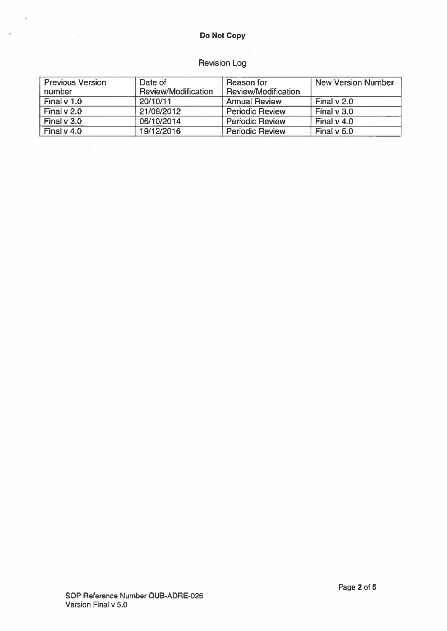## Do Not Copy

i.

 $\tilde{\omega}$ 

# Revision Log

| <b>Previous Version</b> | Date of             | Reason for             | <b>New Version Number</b> |
|-------------------------|---------------------|------------------------|---------------------------|
| number                  | Review/Modification | Review/Modification    |                           |
| Final v 1.0             | 20/10/11            | <b>Annual Review</b>   | Final $v$ 2.0             |
| Final $v$ 2.0           | 21/08/2012          | <b>Periodic Review</b> | Final v 3.0               |
| Final $v$ 3.0           | 06/10/2014          | <b>Periodic Review</b> | Final $v$ 4.0             |
| Final $v$ 4.0           | 19/12/2016          | <b>Periodic Review</b> | Final v 5.0               |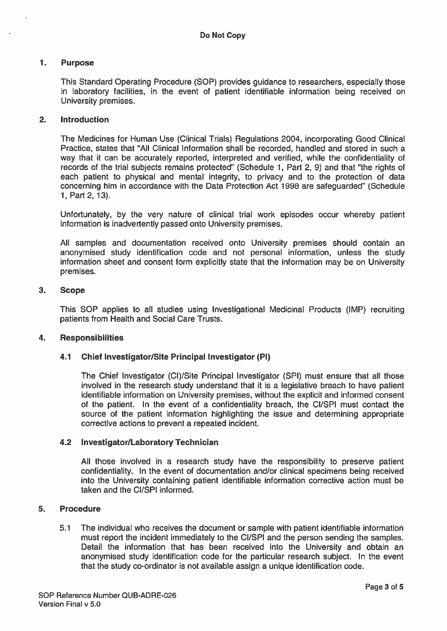## 1. Purpose

This Standard Operating Procedure (SOP) provides guidance to researchers, especially those in laboratory facilities, in the event of patient identifiable information being received on University premises.

## 2. Introduction

The Medicines for Human Use (Clinical Trials) Regulations 2004, incorporating Good Clinical Practice, states that "All Clinical Information shall be recorded, handled and stored in such <sup>a</sup> way that it can be accurately reported, interpreted and verified, while the confidentiality of records of the trial subjects remains protected" (Schedule 1, Part 2, 9) and that "the rights of each patient to physical and mental integrity, to privacy and to the protection of data concerning him in accordance with the Data Protection Act 1998 are safeguarded" (Schedule 1, Part 2, 13).

Unfortunately, by the very nature of clinical trial work episodes occur whereby patient information is inadvertently passed onto University premises.

All samples and documentation received onto University premises should contain an anonymised study identification code and not personal information, unless the study information sheet and consent form explicitly state that the information may be on University premises.

## 3. Scope

This SOP applies to all studies using Investigational Medicinal Products (IMP) recruiting patients from Health and Social Care Trusts.

## 4. Responsibilities

## 4.1 Chief Investigator/Site Principal Investigator (P1)

The Chief Investigator (CI)/Site Principal Investigator (SPI) must ensure that all those involved in the research study understand that it is <sup>a</sup> legislative breach to have patient identifiable information on University premises, without the explicit and informed consent of the patient. In the event of <sup>a</sup> confidentiality breach, the CI/SPI must contact the source of the patient information highlighting the issue and determining appropriate corrective actions to preven<sup>t</sup> <sup>a</sup> repeated incident.

## 4.2 Investigator/Laboratory Technician

All those involved in <sup>a</sup> research study have the responsibility to preserve patient confidentiality. In the event of documentation and/or clinical specimens being received into the University containing patient identifiable information corrective action must be taken and the CI/SPI informed.

## 5. Procedure

5.1 The individual who receives the document or sample with patient identifiable information must repor<sup>t</sup> the incident immediately to the CI/SPI and the person sending the samples. Detail the information that has been received into the University and obtain an anonymised study identification code for the particular research subject. In the event that the study co-ordinator is not available assign <sup>a</sup> unique identification code.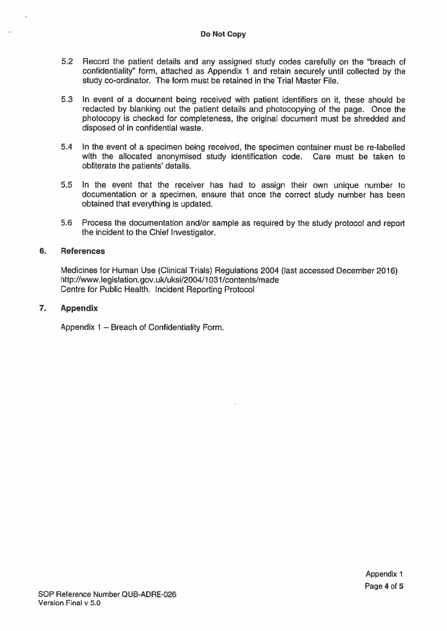## Do Not Copy

- 5.2 Record the patient details and any assigned study codes carefully on the "breach of confidentiality" form, attached as Appendix <sup>1</sup> and retain securely until collected by the study co-ordinator. The form must be retained in the Trial Master File.
- 5.3 In event of <sup>a</sup> document being received with patient identifiers on it, these should be redacted by blanking out the patient details and <sup>p</sup>hotocopying of the page. Once the photocopy is checked for completeness, the original document must be shredded and disposed of in confidential waste.
- 5.4 In the event of <sup>a</sup> specimen being received, the specimen container must be re-labelled with the allocated anonymised study identification code. Care must be taken to obliterate the patients' details.
- 5.5 In the event that the receiver has had to assign their own unique number to documentation or <sup>a</sup> specimen, ensure that once the correct study number has been obtained that everything is updated.
- 5.6 Process the documentation and/or sample as required by the study protocol and repor<sup>t</sup> the incident to the Chief Investigator.

## 6. References

Medicines for Human Use (Clinical Trials) Regulations 2004 (last accessed December 2016) http://www.legislation.gov.uk/uksi/2004/1031/contents/made Centre for Public Health. Incident Reporting Protocol

## 7. Appendix

Appendix 1 — Breach of Confidentiality Form.